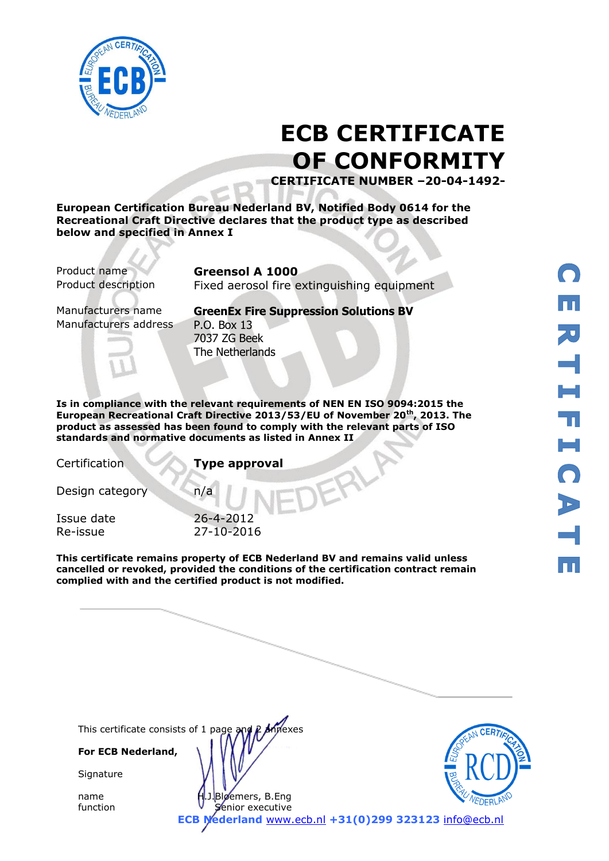

# **ECB CERTIFICATE OF CONFORMITY**

**CERTIFICATE NUMBER –20-04-1492-**

**European Certification Bureau Nederland BV, Notified Body 0614 for the Recreational Craft Directive declares that the product type as described below and specified in Annex I**

Product name **Greensol A 1000**

Product description Fixed aerosol fire extinguishing equipment

Manufacturers address P.O. Box 13

Manufacturers name **GreenEx Fire Suppression Solutions BV** 7037 ZG Beek The Netherlands

**Is in compliance with the relevant requirements of NEN EN ISO 9094:2015 the European Recreational Craft Directive 2013/53/EU of November 20th, 2013. The product as assessed has been found to comply with the relevant parts of ISO standards and normative documents as listed in Annex II** 

Certification **Type approval**

Design category n/a

Issue date 26-4-2012 Re-issue 27-10-2016

**This certificate remains property of ECB Nederland BV and remains valid unless cancelled or revoked, provided the conditions of the certification contract remain complied with and the certified product is not modified.** 

This certificate consists of 1 page and P Annexes

**For ECB Nederland,**

**Signature** 

name H.J.Bloemers, B.Eng function **V** Senior executive



**ECB Nederland** [www.ecb.nl](http://www.ecb.nl/) **+31(0)299 323123** [info@ecb.nl](mailto:info@ecb.nl)